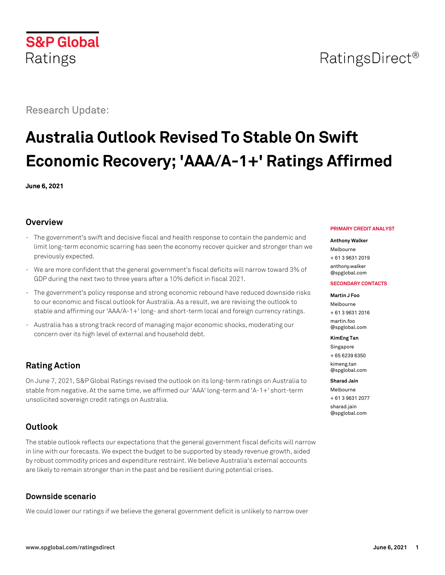# **S&P Global** Ratings

# Research Update:

# **Australia Outlook Revised To Stable On Swift Economic Recovery; 'AAA/A-1+' Ratings Affirmed**

**June 6, 2021**

# **Overview**

- The government's swift and decisive fiscal and health response to contain the pandemic and limit long-term economic scarring has seen the economy recover quicker and stronger than we previously expected.
- We are more confident that the general government's fiscal deficits will narrow toward 3% of GDP during the next two to three years after a 10% deficit in fiscal 2021.
- The government's policy response and strong economic rebound have reduced downside risks to our economic and fiscal outlook for Australia. As a result, we are revising the outlook to stable and affirming our 'AAA/A-1+' long- and short-term local and foreign currency ratings.
- Australia has a strong track record of managing major economic shocks, moderating our concern over its high level of external and household debt.

# **Rating Action**

On June 7, 2021, S&P Global Ratings revised the outlook on its long-term ratings on Australia to stable from negative. At the same time, we affirmed our 'AAA' long-term and 'A-1+' short-term unsolicited sovereign credit ratings on Australia.

# **Outlook**

The stable outlook reflects our expectations that the general government fiscal deficits will narrow in line with our forecasts. We expect the budget to be supported by steady revenue growth, aided by robust commodity prices and expenditure restraint. We believe Australia's external accounts are likely to remain stronger than in the past and be resilient during potential crises.

# **Downside scenario**

We could lower our ratings if we believe the general government deficit is unlikely to narrow over

#### **PRIMARY CREDIT ANALYST**

#### **Anthony Walker**

Melbourne + 61 3 9631 2019 [anthony.walker](mailto:anthony.walker@spglobal.com)

[@spglobal.com](mailto:anthony.walker@spglobal.com)

#### **SECONDARY CONTACTS**

#### **Martin J Foo**

Melbourne + 61 3 9631 2016 [martin.foo](mailto:martin.foo@spglobal.com) [@spglobal.com](mailto:martin.foo@spglobal.com)

#### **KimEng Tan**

Singapore + 65 6239 6350 [kimeng.tan](mailto:kimeng.tan@spglobal.com) [@spglobal.com](mailto:kimeng.tan@spglobal.com)

#### **Sharad Jain**

Melbourne + 61 3 9631 2077 [sharad.jain](mailto:sharad.jain@spglobal.com) [@spglobal.com](mailto:sharad.jain@spglobal.com)

# RatingsDirect<sup>®</sup>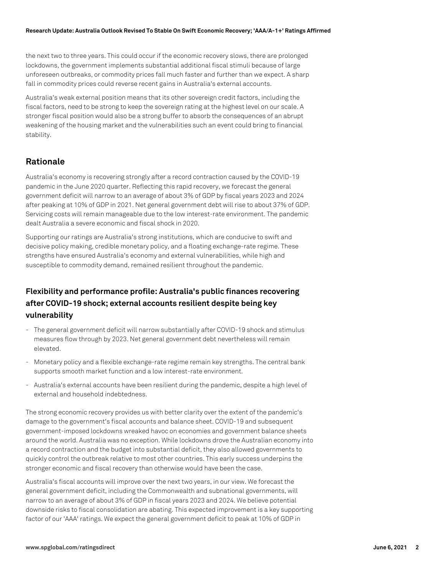the next two to three years. This could occur if the economic recovery slows, there are prolonged lockdowns, the government implements substantial additional fiscal stimuli because of large unforeseen outbreaks, or commodity prices fall much faster and further than we expect. A sharp fall in commodity prices could reverse recent gains in Australia's external accounts.

Australia's weak external position means that its other sovereign credit factors, including the fiscal factors, need to be strong to keep the sovereign rating at the highest level on our scale. A stronger fiscal position would also be a strong buffer to absorb the consequences of an abrupt weakening of the housing market and the vulnerabilities such an event could bring to financial stability.

# **Rationale**

Australia's economy is recovering strongly after a record contraction caused by the COVID-19 pandemic in the June 2020 quarter. Reflecting this rapid recovery, we forecast the general government deficit will narrow to an average of about 3% of GDP by fiscal years 2023 and 2024 after peaking at 10% of GDP in 2021. Net general government debt will rise to about 37% of GDP. Servicing costs will remain manageable due to the low interest-rate environment. The pandemic dealt Australia a severe economic and fiscal shock in 2020.

Supporting our ratings are Australia's strong institutions, which are conducive to swift and decisive policy making, credible monetary policy, and a floating exchange-rate regime. These strengths have ensured Australia's economy and external vulnerabilities, while high and susceptible to commodity demand, remained resilient throughout the pandemic.

# **Flexibility and performance profile: Australia's public finances recovering after COVID-19 shock; external accounts resilient despite being key vulnerability**

- The general government deficit will narrow substantially after COVID-19 shock and stimulus measures flow through by 2023. Net general government debt nevertheless will remain elevated.
- Monetary policy and a flexible exchange-rate regime remain key strengths. The central bank supports smooth market function and a low interest-rate environment.
- Australia's external accounts have been resilient during the pandemic, despite a high level of external and household indebtedness.

The strong economic recovery provides us with better clarity over the extent of the pandemic's damage to the government's fiscal accounts and balance sheet. COVID-19 and subsequent government-imposed lockdowns wreaked havoc on economies and government balance sheets around the world. Australia was no exception. While lockdowns drove the Australian economy into a record contraction and the budget into substantial deficit, they also allowed governments to quickly control the outbreak relative to most other countries. This early success underpins the stronger economic and fiscal recovery than otherwise would have been the case.

Australia's fiscal accounts will improve over the next two years, in our view. We forecast the general government deficit, including the Commonwealth and subnational governments, will narrow to an average of about 3% of GDP in fiscal years 2023 and 2024. We believe potential downside risks to fiscal consolidation are abating. This expected improvement is a key supporting factor of our 'AAA' ratings. We expect the general government deficit to peak at 10% of GDP in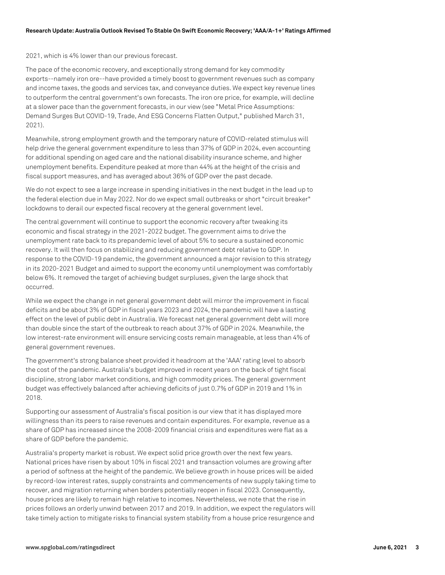2021, which is 4% lower than our previous forecast.

The pace of the economic recovery, and exceptionally strong demand for key commodity exports--namely iron ore--have provided a timely boost to government revenues such as company and income taxes, the goods and services tax, and conveyance duties. We expect key revenue lines to outperform the central government's own forecasts. The iron ore price, for example, will decline at a slower pace than the government forecasts, in our view (see "Metal Price Assumptions: Demand Surges But COVID-19, Trade, And ESG Concerns Flatten Output," published March 31, 2021).

Meanwhile, strong employment growth and the temporary nature of COVID-related stimulus will help drive the general government expenditure to less than 37% of GDP in 2024, even accounting for additional spending on aged care and the national disability insurance scheme, and higher unemployment benefits. Expenditure peaked at more than 44% at the height of the crisis and fiscal support measures, and has averaged about 36% of GDP over the past decade.

We do not expect to see a large increase in spending initiatives in the next budget in the lead up to the federal election due in May 2022. Nor do we expect small outbreaks or short "circuit breaker" lockdowns to derail our expected fiscal recovery at the general government level.

The central government will continue to support the economic recovery after tweaking its economic and fiscal strategy in the 2021-2022 budget. The government aims to drive the unemployment rate back to its prepandemic level of about 5% to secure a sustained economic recovery. It will then focus on stabilizing and reducing government debt relative to GDP. In response to the COVID-19 pandemic, the government announced a major revision to this strategy in its 2020-2021 Budget and aimed to support the economy until unemployment was comfortably below 6%. It removed the target of achieving budget surpluses, given the large shock that occurred.

While we expect the change in net general government debt will mirror the improvement in fiscal deficits and be about 3% of GDP in fiscal years 2023 and 2024, the pandemic will have a lasting effect on the level of public debt in Australia. We forecast net general government debt will more than double since the start of the outbreak to reach about 37% of GDP in 2024. Meanwhile, the low interest-rate environment will ensure servicing costs remain manageable, at less than 4% of general government revenues.

The government's strong balance sheet provided it headroom at the 'AAA' rating level to absorb the cost of the pandemic. Australia's budget improved in recent years on the back of tight fiscal discipline, strong labor market conditions, and high commodity prices. The general government budget was effectively balanced after achieving deficits of just 0.7% of GDP in 2019 and 1% in 2018.

Supporting our assessment of Australia's fiscal position is our view that it has displayed more willingness than its peers to raise revenues and contain expenditures. For example, revenue as a share of GDP has increased since the 2008-2009 financial crisis and expenditures were flat as a share of GDP before the pandemic.

Australia's property market is robust. We expect solid price growth over the next few years. National prices have risen by about 10% in fiscal 2021 and transaction volumes are growing after a period of softness at the height of the pandemic. We believe growth in house prices will be aided by record-low interest rates, supply constraints and commencements of new supply taking time to recover, and migration returning when borders potentially reopen in fiscal 2023. Consequently, house prices are likely to remain high relative to incomes. Nevertheless, we note that the rise in prices follows an orderly unwind between 2017 and 2019. In addition, we expect the regulators will take timely action to mitigate risks to financial system stability from a house price resurgence and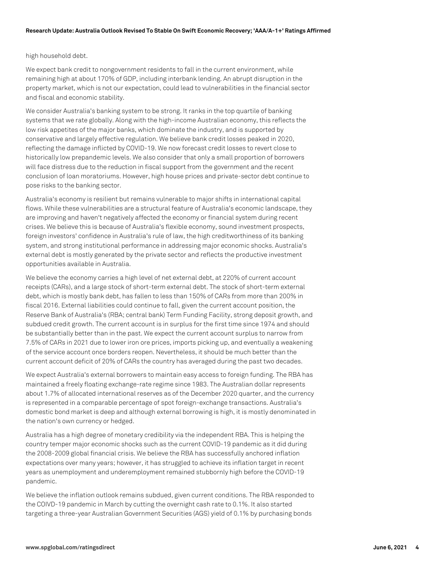# high household debt.

We expect bank credit to nongovernment residents to fall in the current environment, while remaining high at about 170% of GDP, including interbank lending. An abrupt disruption in the property market, which is not our expectation, could lead to vulnerabilities in the financial sector and fiscal and economic stability.

We consider Australia's banking system to be strong. It ranks in the top quartile of banking systems that we rate globally. Along with the high-income Australian economy, this reflects the low risk appetites of the major banks, which dominate the industry, and is supported by conservative and largely effective regulation. We believe bank credit losses peaked in 2020, reflecting the damage inflicted by COVID-19. We now forecast credit losses to revert close to historically low prepandemic levels. We also consider that only a small proportion of borrowers will face distress due to the reduction in fiscal support from the government and the recent conclusion of loan moratoriums. However, high house prices and private-sector debt continue to pose risks to the banking sector.

Australia's economy is resilient but remains vulnerable to major shifts in international capital flows. While these vulnerabilities are a structural feature of Australia's economic landscape, they are improving and haven't negatively affected the economy or financial system during recent crises. We believe this is because of Australia's flexible economy, sound investment prospects, foreign investors' confidence in Australia's rule of law, the high creditworthiness of its banking system, and strong institutional performance in addressing major economic shocks. Australia's external debt is mostly generated by the private sector and reflects the productive investment opportunities available in Australia.

We believe the economy carries a high level of net external debt, at 220% of current account receipts (CARs), and a large stock of short-term external debt. The stock of short-term external debt, which is mostly bank debt, has fallen to less than 150% of CARs from more than 200% in fiscal 2016. External liabilities could continue to fall, given the current account position, the Reserve Bank of Australia's (RBA; central bank) Term Funding Facility, strong deposit growth, and subdued credit growth. The current account is in surplus for the first time since 1974 and should be substantially better than in the past. We expect the current account surplus to narrow from 7.5% of CARs in 2021 due to lower iron ore prices, imports picking up, and eventually a weakening of the service account once borders reopen. Nevertheless, it should be much better than the current account deficit of 20% of CARs the country has averaged during the past two decades.

We expect Australia's external borrowers to maintain easy access to foreign funding. The RBA has maintained a freely floating exchange-rate regime since 1983. The Australian dollar represents about 1.7% of allocated international reserves as of the December 2020 quarter, and the currency is represented in a comparable percentage of spot foreign-exchange transactions. Australia's domestic bond market is deep and although external borrowing is high, it is mostly denominated in the nation's own currency or hedged.

Australia has a high degree of monetary credibility via the independent RBA. This is helping the country temper major economic shocks such as the current COVID-19 pandemic as it did during the 2008-2009 global financial crisis. We believe the RBA has successfully anchored inflation expectations over many years; however, it has struggled to achieve its inflation target in recent years as unemployment and underemployment remained stubbornly high before the COVID-19 pandemic.

We believe the inflation outlook remains subdued, given current conditions. The RBA responded to the COIVD-19 pandemic in March by cutting the overnight cash rate to 0.1%. It also started targeting a three-year Australian Government Securities (AGS) yield of 0.1% by purchasing bonds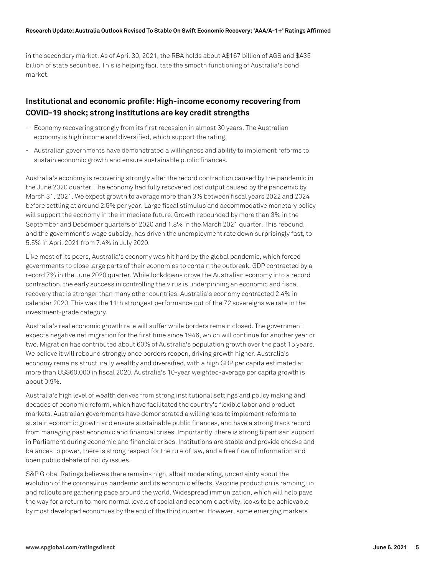#### **Research Update: Australia Outlook Revised To Stable On Swift Economic Recovery; 'AAA/A-1+' Ratings Affirmed**

in the secondary market. As of April 30, 2021, the RBA holds about A\$167 billion of AGS and \$A35 billion of state securities. This is helping facilitate the smooth functioning of Australia's bond market.

# **Institutional and economic profile: High-income economy recovering from COVID-19 shock; strong institutions are key credit strengths**

- Economy recovering strongly from its first recession in almost 30 years. The Australian economy is high income and diversified, which support the rating.
- Australian governments have demonstrated a willingness and ability to implement reforms to sustain economic growth and ensure sustainable public finances.

Australia's economy is recovering strongly after the record contraction caused by the pandemic in the June 2020 quarter. The economy had fully recovered lost output caused by the pandemic by March 31, 2021. We expect growth to average more than 3% between fiscal years 2022 and 2024 before settling at around 2.5% per year. Large fiscal stimulus and accommodative monetary policy will support the economy in the immediate future. Growth rebounded by more than 3% in the September and December quarters of 2020 and 1.8% in the March 2021 quarter. This rebound, and the government's wage subsidy, has driven the unemployment rate down surprisingly fast, to 5.5% in April 2021 from 7.4% in July 2020.

Like most of its peers, Australia's economy was hit hard by the global pandemic, which forced governments to close large parts of their economies to contain the outbreak. GDP contracted by a record 7% in the June 2020 quarter. While lockdowns drove the Australian economy into a record contraction, the early success in controlling the virus is underpinning an economic and fiscal recovery that is stronger than many other countries. Australia's economy contracted 2.4% in calendar 2020. This was the 11th strongest performance out of the 72 sovereigns we rate in the investment-grade category.

Australia's real economic growth rate will suffer while borders remain closed. The government expects negative net migration for the first time since 1946, which will continue for another year or two. Migration has contributed about 60% of Australia's population growth over the past 15 years. We believe it will rebound strongly once borders reopen, driving growth higher. Australia's economy remains structurally wealthy and diversified, with a high GDP per capita estimated at more than US\$60,000 in fiscal 2020. Australia's 10-year weighted-average per capita growth is about 0.9%.

Australia's high level of wealth derives from strong institutional settings and policy making and decades of economic reform, which have facilitated the country's flexible labor and product markets. Australian governments have demonstrated a willingness to implement reforms to sustain economic growth and ensure sustainable public finances, and have a strong track record from managing past economic and financial crises. Importantly, there is strong bipartisan support in Parliament during economic and financial crises. Institutions are stable and provide checks and balances to power, there is strong respect for the rule of law, and a free flow of information and open public debate of policy issues.

S&P Global Ratings believes there remains high, albeit moderating, uncertainty about the evolution of the coronavirus pandemic and its economic effects. Vaccine production is ramping up and rollouts are gathering pace around the world. Widespread immunization, which will help pave the way for a return to more normal levels of social and economic activity, looks to be achievable by most developed economies by the end of the third quarter. However, some emerging markets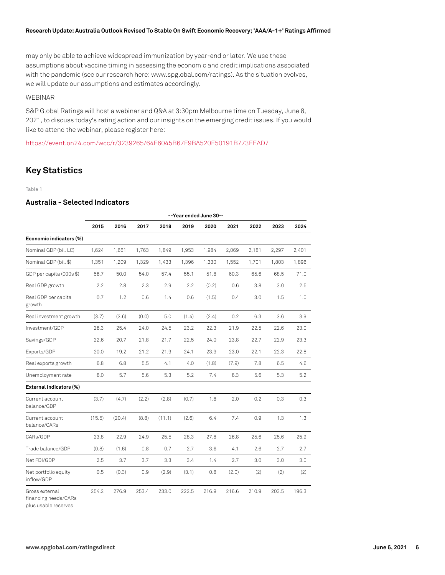#### **Research Update: Australia Outlook Revised To Stable On Swift Economic Recovery; 'AAA/A-1+' Ratings Affirmed**

may only be able to achieve widespread immunization by year-end or later. We use these assumptions about vaccine timing in assessing the economic and credit implications associated with the pandemic (see our research here: www.spglobal.com/ratings). As the situation evolves, we will update our assumptions and estimates accordingly.

# WEBINAR

S&P Global Ratings will host a webinar and Q&A at 3:30pm Melbourne time on Tuesday, June 8, 2021, to discuss today's rating action and our insights on the emerging credit issues. If you would like to attend the webinar, please register here:

<https://event.on24.com/wcc/r/3239265/64F6045B67F9BA520F50191B773FEAD7>

# **Key Statistics**

#### Table 1

# **Australia - Selected Indicators**

|                                                                | --Year ended June 30-- |        |       |        |       |       |       |       |       |       |
|----------------------------------------------------------------|------------------------|--------|-------|--------|-------|-------|-------|-------|-------|-------|
|                                                                | 2015                   | 2016   | 2017  | 2018   | 2019  | 2020  | 2021  | 2022  | 2023  | 2024  |
| Economic indicators (%)                                        |                        |        |       |        |       |       |       |       |       |       |
| Nominal GDP (bil. LC)                                          | 1,624                  | 1,661  | 1,763 | 1,849  | 1,953 | 1,984 | 2,069 | 2,181 | 2,297 | 2,401 |
| Nominal GDP (bil. \$)                                          | 1,351                  | 1,209  | 1,329 | 1,433  | 1,396 | 1,330 | 1,552 | 1,701 | 1,803 | 1,896 |
| GDP per capita (000s \$)                                       | 56.7                   | 50.0   | 54.0  | 57.4   | 55.1  | 51.8  | 60.3  | 65.6  | 68.5  | 71.0  |
| Real GDP growth                                                | 2.2                    | 2.8    | 2.3   | 2.9    | 2.2   | (0.2) | 0.6   | 3.8   | 3.0   | 2.5   |
| Real GDP per capita<br>growth                                  | 0.7                    | 1.2    | 0.6   | 1.4    | 0.6   | (1.5) | 0.4   | 3.0   | 1.5   | 1.0   |
| Real investment growth                                         | (3.7)                  | (3.6)  | (0.0) | 5.0    | (1.4) | (2.4) | 0.2   | 6.3   | 3.6   | 3.9   |
| Investment/GDP                                                 | 26.3                   | 25.4   | 24.0  | 24.5   | 23.2  | 22.3  | 21.9  | 22.5  | 22.6  | 23.0  |
| Savings/GDP                                                    | 22.6                   | 20.7   | 21.8  | 21.7   | 22.5  | 24.0  | 23.8  | 22.7  | 22.9  | 23.3  |
| Exports/GDP                                                    | 20.0                   | 19.2   | 21.2  | 21.9   | 24.1  | 23.9  | 23.0  | 22.1  | 22.3  | 22.8  |
| Real exports growth                                            | 6.8                    | 6.8    | 5.5   | 4.1    | 4.0   | (1.8) | (7.9) | 7.8   | 6.5   | 4.6   |
| Unemployment rate                                              | 6.0                    | 5.7    | 5.6   | 5.3    | 5.2   | 7.4   | 6.3   | 5.6   | 5.3   | 5.2   |
| External indicators (%)                                        |                        |        |       |        |       |       |       |       |       |       |
| Current account<br>balance/GDP                                 | (3.7)                  | (4.7)  | (2.2) | (2.8)  | (0.7) | 1.8   | 2.0   | 0.2   | 0.3   | 0.3   |
| Current account<br>balance/CARs                                | (15.5)                 | (20.4) | (8.8) | (11.1) | (2.6) | 6.4   | 7.4   | 0.9   | 1.3   | 1.3   |
| CARs/GDP                                                       | 23.8                   | 22.9   | 24.9  | 25.5   | 28.3  | 27.8  | 26.8  | 25.6  | 25.6  | 25.9  |
| Trade balance/GDP                                              | (0.8)                  | (1.6)  | 0.8   | 0.7    | 2.7   | 3.6   | 4.1   | 2.6   | 2.7   | 2.7   |
| Net FDI/GDP                                                    | 2.5                    | 3.7    | 3.7   | 3.3    | 3.4   | 1.4   | 2.7   | 3.0   | 3.0   | 3.0   |
| Net portfolio equity<br>inflow/GDP                             | 0.5                    | (0.3)  | 0.9   | (2.9)  | (3.1) | 0.8   | (2.0) | (2)   | (2)   | (2)   |
| Gross external<br>financing needs/CARs<br>plus usable reserves | 254.2                  | 276.9  | 253.4 | 233.0  | 222.5 | 216.9 | 216.6 | 210.9 | 203.5 | 196.3 |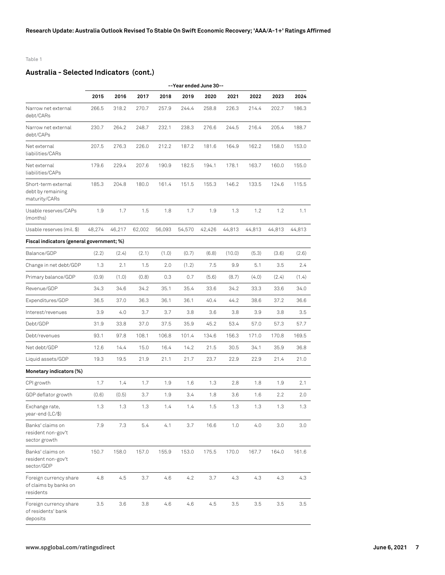## Table 1

# **Australia - Selected Indicators (cont.)**

|                                                              |        | --Year ended June 30-- |        |        |        |        |        |        |        |        |
|--------------------------------------------------------------|--------|------------------------|--------|--------|--------|--------|--------|--------|--------|--------|
|                                                              | 2015   | 2016                   | 2017   | 2018   | 2019   | 2020   | 2021   | 2022   | 2023   | 2024   |
| Narrow net external<br>debt/CARs                             | 266.5  | 318.2                  | 270.7  | 257.9  | 244.4  | 258.8  | 226.3  | 214.4  | 202.7  | 186.3  |
| Narrow net external<br>debt/CAPs                             | 230.7  | 264.2                  | 248.7  | 232.1  | 238.3  | 276.6  | 244.5  | 216.4  | 205.4  | 188.7  |
| Net external<br>liabilities/CARs                             | 207.5  | 276.3                  | 226.0  | 212.2  | 187.2  | 181.6  | 164.9  | 162.2  | 158.0  | 153.0  |
| Net external<br>liabilities/CAPs                             | 179.6  | 229.4                  | 207.6  | 190.9  | 182.5  | 194.1  | 178.1  | 163.7  | 160.0  | 155.0  |
| Short-term external<br>debt by remaining<br>maturity/CARs    | 185.3  | 204.8                  | 180.0  | 161.4  | 151.5  | 155.3  | 146.2  | 133.5  | 124.6  | 115.5  |
| Usable reserves/CAPs<br>(months)                             | 1.9    | 1.7                    | 1.5    | 1.8    | 1.7    | 1.9    | 1.3    | 1.2    | 1.2    | 1.1    |
| Usable reserves (mil. \$)                                    | 48,274 | 46,217                 | 62,002 | 56,093 | 54,570 | 42,426 | 44,813 | 44,813 | 44,813 | 44,813 |
| Fiscal indicators (general government; %)                    |        |                        |        |        |        |        |        |        |        |        |
| Balance/GDP                                                  | (2.2)  | (2.4)                  | (2.1)  | (1.0)  | (0.7)  | (6.8)  | (10.0) | (5.3)  | (3.6)  | (2.6)  |
| Change in net debt/GDP                                       | 1.3    | 2.1                    | 1.5    | 2.0    | (1.2)  | 7.5    | 9.9    | 5.1    | 3.5    | 2.4    |
| Primary balance/GDP                                          | (0.9)  | (1.0)                  | (0.8)  | 0.3    | 0.7    | (5.6)  | (8.7)  | (4.0)  | (2.4)  | (1.4)  |
| Revenue/GDP                                                  | 34.3   | 34.6                   | 34.2   | 35.1   | 35.4   | 33.6   | 34.2   | 33.3   | 33.6   | 34.0   |
| Expenditures/GDP                                             | 36.5   | 37.0                   | 36.3   | 36.1   | 36.1   | 40.4   | 44.2   | 38.6   | 37.2   | 36.6   |
| Interest/revenues                                            | 3.9    | 4.0                    | 3.7    | 3.7    | 3.8    | 3.6    | 3.8    | 3.9    | 3.8    | 3.5    |
| Debt/GDP                                                     | 31.9   | 33.8                   | 37.0   | 37.5   | 35.9   | 45.2   | 53.4   | 57.0   | 57.3   | 57.7   |
| Debt/revenues                                                | 93.1   | 97.8                   | 108.1  | 106.8  | 101.4  | 134.6  | 156.3  | 171.0  | 170.8  | 169.5  |
| Net debt/GDP                                                 | 12.6   | 14.4                   | 15.0   | 16.4   | 14.2   | 21.5   | 30.5   | 34.1   | 35.9   | 36.8   |
| Liquid assets/GDP                                            | 19.3   | 19.5                   | 21.9   | 21.1   | 21.7   | 23.7   | 22.9   | 22.9   | 21.4   | 21.0   |
| Monetary indicators (%)                                      |        |                        |        |        |        |        |        |        |        |        |
| CPI growth                                                   | 1.7    | 1.4                    | 1.7    | 1.9    | 1.6    | 1.3    | 2.8    | 1.8    | 1.9    | 2.1    |
| GDP deflator growth                                          | (0.6)  | (0.5)                  | 3.7    | 1.9    | 3.4    | 1.8    | 3.6    | 1.6    | 2.2    | 2.0    |
| Exchange rate,<br>year-end (LC/\$)                           | 1.3    | 1.3                    | 1.3    | 1.4    | 1.4    | 1.5    | 1.3    | 1.3    | 1.3    | 1.3    |
| Banks' claims on<br>resident non-gov't<br>sector growth      | 7.9    | 7.3                    | 5.4    | 4.1    | 3.7    | 16.6   | 1.0    | 4.0    | 3.0    | 3.0    |
| Banks' claims on<br>resident non-gov't<br>sector/GDP         | 150.7  | 158.0                  | 157.0  | 155.9  | 153.0  | 175.5  | 170.0  | 167.7  | 164.0  | 161.6  |
| Foreign currency share<br>of claims by banks on<br>residents | 4.8    | 4.5                    | 3.7    | 4.6    | 4.2    | 3.7    | 4.3    | 4.3    | 4.3    | 4.3    |
| Foreign currency share<br>of residents' bank<br>deposits     | 3.5    | 3.6                    | 3.8    | 4.6    | 4.6    | 4.5    | 3.5    | 3.5    | 3.5    | 3.5    |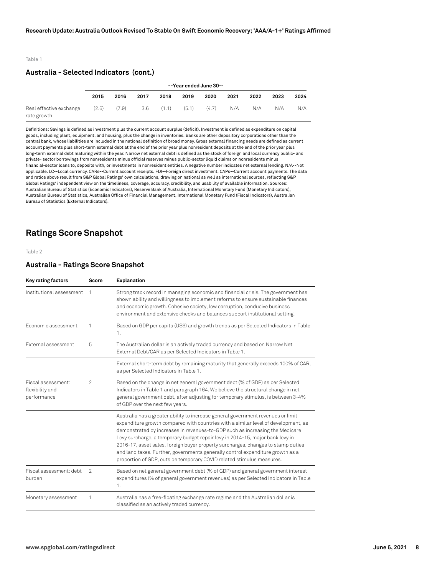#### Table 1

## **Australia - Selected Indicators (cont.)**

|                                        | --Year ended June 30-- |       |      |       |       |       |      |      |      |      |
|----------------------------------------|------------------------|-------|------|-------|-------|-------|------|------|------|------|
|                                        | 2015                   | 2016  | 2017 | 2018  | 2019  | 2020  | 2021 | 2022 | 2023 | 2024 |
| Real effective exchange<br>rate growth | (2.6)                  | (7.9) | -3.6 | (1.1) | (5.1) | (4.7) | N/A  | N/A  | N/A  | N/A  |

Definitions: Savings is defined as investment plus the current account surplus (deficit). Investment is defined as expenditure on capital goods, including plant, equipment, and housing, plus the change in inventories. Banks are other depository corporations other than the central bank, whose liabilities are included in the national definition of broad money. Gross external financing needs are defined as current account payments plus short-term external debt at the end of the prior year plus nonresident deposits at the end of the prior year plus long-term external debt maturing within the year. Narrow net external debt is defined as the stock of foreign and local currency public- and private- sector borrowings from nonresidents minus official reserves minus public-sector liquid claims on nonresidents minus financial-sector loans to, deposits with, or investments in nonresident entities. A negative number indicates net external lending. N/A--Not applicable. LC--Local currency. CARs--Current account receipts. FDI--Foreign direct investment. CAPs--Current account payments. The data and ratios above result from S&P Global Ratings' own calculations, drawing on national as well as international sources, reflecting S&P Global Ratings' independent view on the timeliness, coverage, accuracy, credibility, and usability of available information. Sources: Australian Bureau of Statistics (Economic Indicators), Reserve Bank of Australia, International Monetary Fund (Monetary Indicators), Australian Bureau of Statistics, Australian Office of Financial Management, International Monetary Fund (Fiscal Indicators), Australian Bureau of Statistics (External Indicators).

# **Ratings Score Snapshot**

#### Table 2

## **Australia - Ratings Score Snapshot**

| Key rating factors                                   | Score          | Explanation                                                                                                                                                                                                                                                                                                                                                                                                                                                                                                                                                                            |
|------------------------------------------------------|----------------|----------------------------------------------------------------------------------------------------------------------------------------------------------------------------------------------------------------------------------------------------------------------------------------------------------------------------------------------------------------------------------------------------------------------------------------------------------------------------------------------------------------------------------------------------------------------------------------|
| Institutional assessment                             |                | Strong track record in managing economic and financial crisis. The government has<br>shown ability and willingness to implement reforms to ensure sustainable finances<br>and economic growth. Cohesive society, low corruption, conducive business<br>environment and extensive checks and balances support institutional setting.                                                                                                                                                                                                                                                    |
| Economic assessment                                  | 1              | Based on GDP per capita (US\$) and growth trends as per Selected Indicators in Table<br>1.                                                                                                                                                                                                                                                                                                                                                                                                                                                                                             |
| External assessment                                  | 5              | The Australian dollar is an actively traded currency and based on Narrow Net<br>External Debt/CAR as per Selected Indicators in Table 1.                                                                                                                                                                                                                                                                                                                                                                                                                                               |
|                                                      |                | External short-term debt by remaining maturity that generally exceeds 100% of CAR,<br>as per Selected Indicators in Table 1.                                                                                                                                                                                                                                                                                                                                                                                                                                                           |
| Fiscal assessment:<br>flexibility and<br>performance | $\mathfrak{p}$ | Based on the change in net general government debt (% of GDP) as per Selected<br>Indicators in Table 1 and paragraph 164. We believe the structural change in net<br>general government debt, after adjusting for temporary stimulus, is between 3-4%<br>of GDP over the next few years.                                                                                                                                                                                                                                                                                               |
|                                                      |                | Australia has a greater ability to increase general government revenues or limit<br>expenditure growth compared with countries with a similar level of development, as<br>demonstrated by increases in revenues-to-GDP such as increasing the Medicare<br>Levy surcharge, a temporary budget repair levy in 2014-15, major bank levy in<br>2016-17, asset sales, foreign buyer property surcharges, changes to stamp duties<br>and land taxes. Further, governments generally control expenditure growth as a<br>proportion of GDP, outside temporary COVID related stimulus measures. |
| Fiscal assessment: debt<br>burden                    | $\mathcal{P}$  | Based on net general government debt (% of GDP) and general government interest<br>expenditures (% of general government revenues) as per Selected Indicators in Table<br>1.                                                                                                                                                                                                                                                                                                                                                                                                           |
| Monetary assessment                                  | 1              | Australia has a free-floating exchange rate regime and the Australian dollar is<br>classified as an actively traded currency.                                                                                                                                                                                                                                                                                                                                                                                                                                                          |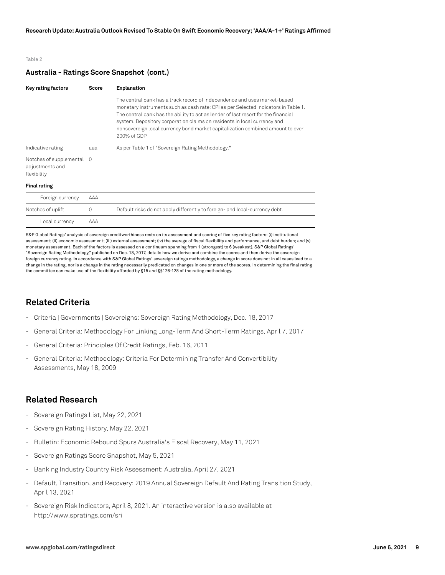#### Table 2

## **Australia - Ratings Score Snapshot (cont.)**

| Key rating factors                                          | Score    | <b>Explanation</b>                                                                                                                                                                                                                                                                                                                                                                                                                 |
|-------------------------------------------------------------|----------|------------------------------------------------------------------------------------------------------------------------------------------------------------------------------------------------------------------------------------------------------------------------------------------------------------------------------------------------------------------------------------------------------------------------------------|
|                                                             |          | The central bank has a track record of independence and uses market-based<br>monetary instruments such as cash rate; CPI as per Selected Indicators in Table 1.<br>The central bank has the ability to act as lender of last resort for the financial<br>system. Depository corporation claims on residents in local currency and<br>nonsovereign local currency bond market capitalization combined amount to over<br>200% of GDP |
| Indicative rating                                           | ааа      | As per Table 1 of "Sovereign Rating Methodology."                                                                                                                                                                                                                                                                                                                                                                                  |
| Notches of supplemental 0<br>adjustments and<br>flexibility |          |                                                                                                                                                                                                                                                                                                                                                                                                                                    |
| <b>Final rating</b>                                         |          |                                                                                                                                                                                                                                                                                                                                                                                                                                    |
| Foreign currency                                            | AAA      |                                                                                                                                                                                                                                                                                                                                                                                                                                    |
| Notches of uplift                                           | $\Omega$ | Default risks do not apply differently to foreign- and local-currency debt.                                                                                                                                                                                                                                                                                                                                                        |
| Local currency                                              | AAA      |                                                                                                                                                                                                                                                                                                                                                                                                                                    |

S&P Global Ratings' analysis of sovereign creditworthiness rests on its assessment and scoring of five key rating factors: (i) institutional assessment; (ii) economic assessment; (iii) external assessment; (iv) the average of fiscal flexibility and performance, and debt burden; and (v) monetary assessment. Each of the factors is assessed on a continuum spanning from 1 (strongest) to 6 (weakest). S&P Global Ratings' "Sovereign Rating Methodology," published on Dec. 18, 2017, details how we derive and combine the scores and then derive the sovereign foreign currency rating. In accordance with S&P Global Ratings' sovereign ratings methodology, a change in score does not in all cases lead to a change in the rating, nor is a change in the rating necessarily predicated on changes in one or more of the scores. In determining the final rating the committee can make use of the flexibility afforded by §15 and §§126-128 of the rating methodology.

# **Related Criteria**

- Criteria | Governments | Sovereigns: Sovereign Rating Methodology, Dec. 18, 2017
- General Criteria: Methodology For Linking Long-Term And Short-Term Ratings, April 7, 2017
- General Criteria: Principles Of Credit Ratings, Feb. 16, 2011
- General Criteria: Methodology: Criteria For Determining Transfer And Convertibility Assessments, May 18, 2009

# **Related Research**

- Sovereign Ratings List, May 22, 2021
- Sovereign Rating History, May 22, 2021
- Bulletin: Economic Rebound Spurs Australia's Fiscal Recovery, May 11, 2021
- Sovereign Ratings Score Snapshot, May 5, 2021
- Banking Industry Country Risk Assessment: Australia, April 27, 2021
- Default, Transition, and Recovery: 2019 Annual Sovereign Default And Rating Transition Study, April 13, 2021
- Sovereign Risk Indicators, April 8, 2021. An interactive version is also available at http://www.spratings.com/sri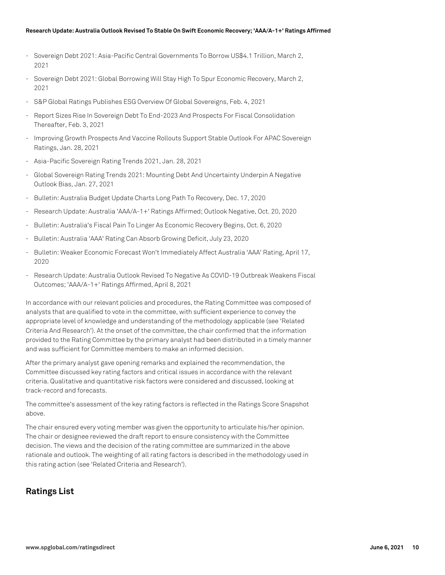#### **Research Update: Australia Outlook Revised To Stable On Swift Economic Recovery; 'AAA/A-1+' Ratings Affirmed**

- Sovereign Debt 2021: Asia-Pacific Central Governments To Borrow US\$4.1 Trillion, March 2, 2021
- Sovereign Debt 2021: Global Borrowing Will Stay High To Spur Economic Recovery, March 2, 2021
- S&P Global Ratings Publishes ESG Overview Of Global Sovereigns, Feb. 4, 2021
- Report Sizes Rise In Sovereign Debt To End-2023 And Prospects For Fiscal Consolidation Thereafter, Feb. 3, 2021
- Improving Growth Prospects And Vaccine Rollouts Support Stable Outlook For APAC Sovereign Ratings, Jan. 28, 2021
- Asia-Pacific Sovereign Rating Trends 2021, Jan. 28, 2021
- Global Sovereign Rating Trends 2021: Mounting Debt And Uncertainty Underpin A Negative Outlook Bias, Jan. 27, 2021
- Bulletin: Australia Budget Update Charts Long Path To Recovery, Dec. 17, 2020
- Research Update: Australia 'AAA/A-1+' Ratings Affirmed; Outlook Negative, Oct. 20, 2020
- Bulletin: Australia's Fiscal Pain To Linger As Economic Recovery Begins, Oct. 6, 2020
- Bulletin: Australia 'AAA' Rating Can Absorb Growing Deficit, July 23, 2020
- Bulletin: Weaker Economic Forecast Won't Immediately Affect Australia 'AAA' Rating, April 17, 2020
- Research Update: Australia Outlook Revised To Negative As COVID-19 Outbreak Weakens Fiscal Outcomes; 'AAA/A-1+' Ratings Affirmed, April 8, 2021

In accordance with our relevant policies and procedures, the Rating Committee was composed of analysts that are qualified to vote in the committee, with sufficient experience to convey the appropriate level of knowledge and understanding of the methodology applicable (see 'Related Criteria And Research'). At the onset of the committee, the chair confirmed that the information provided to the Rating Committee by the primary analyst had been distributed in a timely manner and was sufficient for Committee members to make an informed decision.

After the primary analyst gave opening remarks and explained the recommendation, the Committee discussed key rating factors and critical issues in accordance with the relevant criteria. Qualitative and quantitative risk factors were considered and discussed, looking at track-record and forecasts.

The committee's assessment of the key rating factors is reflected in the Ratings Score Snapshot above.

The chair ensured every voting member was given the opportunity to articulate his/her opinion. The chair or designee reviewed the draft report to ensure consistency with the Committee decision. The views and the decision of the rating committee are summarized in the above rationale and outlook. The weighting of all rating factors is described in the methodology used in this rating action (see 'Related Criteria and Research').

# **Ratings List**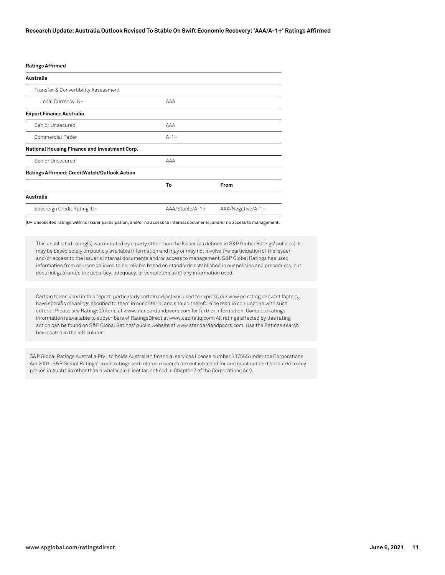#### **Ratings Affirmed**

| Australia                                     |                 |                   |
|-----------------------------------------------|-----------------|-------------------|
| Transfer & Convertibility Assessment          |                 |                   |
| Local Currency  U~                            | AAA             |                   |
| <b>Export Finance Australia</b>               |                 |                   |
| Senior Unsecured                              | AAA             |                   |
| Commercial Paper                              | $A - 1 +$       |                   |
| National Housing Finance and Investment Corp. |                 |                   |
| Senior Unsecured                              | AAA             |                   |
| Ratings Affirmed; CreditWatch/Outlook Action  |                 |                   |
|                                               | To              | From              |
| Australia                                     |                 |                   |
| Sovereign Credit Rating  U~                   | AAA/Stable/A-1+ | AAA/Negative/A-1+ |

|U~ Unsolicited ratings with no issuer participation, and/or no access to internal documents, and/or no access to management.

This unsolicited rating(s) was initiated by a party other than the Issuer (as defined in S&P Global Ratings' policies). It may be based solely on publicly available information and may or may not involve the participation of the Issuer and/or access to the Issuer's internal documents and/or access to management. S&P Global Ratings has used information from sources believed to be reliable based on standards established in our policies and procedures, but does not guarantee the accuracy, adequacy, or completeness of any information used.

Certain terms used in this report, particularly certain adjectives used to express our view on rating relevant factors, have specific meanings ascribed to them in our criteria, and should therefore be read in conjunction with such criteria. Please see Ratings Criteria at www.standardandpoors.com for further information. Complete ratings information is available to subscribers of RatingsDirect at www.capitaliq.com. All ratings affected by this rating action can be found on S&P Global Ratings' public website at www.standardandpoors.com. Use the Ratings search box located in the left column.

S&P Global Ratings Australia Pty Ltd holds Australian financial services license number 337565 under the Corporations Act 2001. S&P Global Ratings' credit ratings and related research are not intended for and must not be distributed to any person in Australia other than a wholesale client (as defined in Chapter 7 of the Corporations Act).